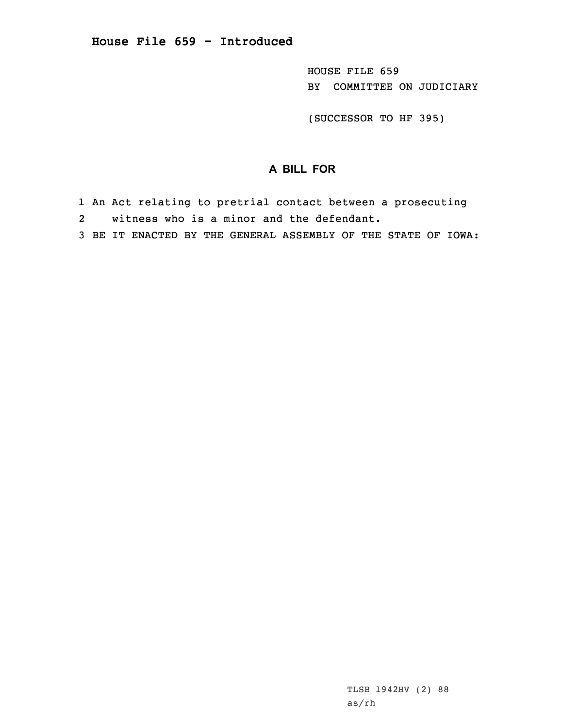HOUSE FILE 659 BY COMMITTEE ON JUDICIARY

(SUCCESSOR TO HF 395)

## **A BILL FOR**

- 1 An Act relating to pretrial contact between <sup>a</sup> prosecuting
- 2witness who is <sup>a</sup> minor and the defendant.
- 3 BE IT ENACTED BY THE GENERAL ASSEMBLY OF THE STATE OF IOWA: